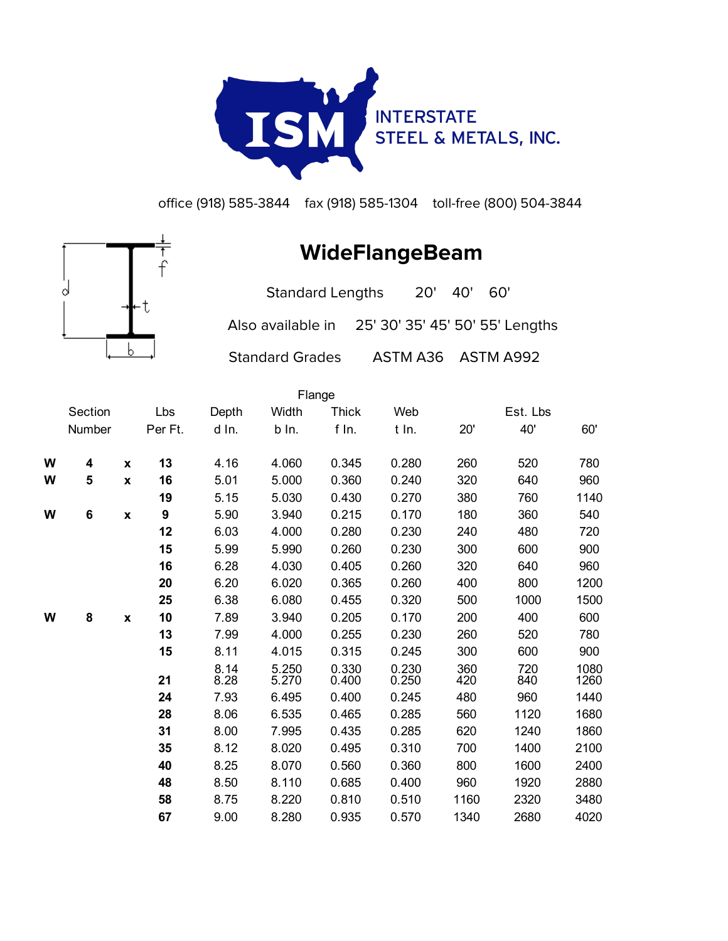

office (918) 585-3844 fax (918) 585-1304 toll-free (800) 504-3844

## d

**WideFlangeBeam**

Standard Lengths 20' 40' 60' Also available in 25' 30' 35' 45' 50' 55' Lengths

Standard Grades ASTM A36 ASTM A992

|   |         |              |         |              |                | Flange         |                                               |            |            |              |
|---|---------|--------------|---------|--------------|----------------|----------------|-----------------------------------------------|------------|------------|--------------|
|   | Section |              | Lbs     | Depth        | Width          | <b>Thick</b>   | Web                                           |            | Est. Lbs   |              |
|   | Number  |              | Per Ft. | d In.        | b In.          | f In.          | t In.                                         | 20'        | 40'        | 60'          |
| W | 4       | $\mathbf{x}$ | 13      | 4.16         | 4.060          | 0.345          | 0.280                                         | 260        | 520        | 780          |
| W | 5       | X            | 16      | 5.01         | 5.000          | 0.360          | 0.240                                         | 320        | 640        | 960          |
|   |         |              | 19      | 5.15         | 5.030          | 0.430          | 0.270                                         | 380        | 760        | 1140         |
| W | 6       | X            | 9       | 5.90         | 3.940          | 0.215          | 0.170                                         | 180        | 360        | 540          |
|   |         |              | 12      | 6.03         | 4.000          | 0.280          | 0.230                                         | 240        | 480        | 720          |
|   |         |              | 15      | 5.99         | 5.990          | 0.260          | 0.230                                         | 300        | 600        | 900          |
|   |         |              | 16      | 6.28         | 4.030          | 0.405          | 0.260                                         | 320        | 640        | 960          |
|   |         |              | 20      | 6.20         | 6.020          | 0.365          | 0.260                                         | 400        | 800        | 1200         |
|   |         |              | 25      | 6.38         | 6.080          | 0.455          | 0.320                                         | 500        | 1000       | 1500         |
| W | 8       | X            | 10      | 7.89         | 3.940          | 0.205          | 0.170                                         | 200        | 400        | 600          |
|   |         |              | 13      | 7.99         | 4.000          | 0.255          | 0.230                                         | 260        | 520        | 780          |
|   |         |              | 15      | 8.11         | 4.015          | 0.315          | 0.245                                         | 300        | 600        | 900          |
|   |         |              | 21      | 8.14<br>8.28 | 5.250<br>5.270 | 0.330<br>0.400 | $\begin{array}{c} 0.230 \\ 0.250 \end{array}$ | 360<br>420 | 720<br>840 | 1080<br>1260 |
|   |         |              | 24      | 7.93         | 6.495          | 0.400          | 0.245                                         | 480        | 960        | 1440         |
|   |         |              | 28      | 8.06         | 6.535          | 0.465          | 0.285                                         | 560        | 1120       | 1680         |
|   |         |              | 31      | 8.00         | 7.995          | 0.435          | 0.285                                         | 620        | 1240       | 1860         |
|   |         |              | 35      | 8.12         | 8.020          | 0.495          | 0.310                                         | 700        | 1400       | 2100         |
|   |         |              | 40      | 8.25         | 8.070          | 0.560          | 0.360                                         | 800        | 1600       | 2400         |
|   |         |              | 48      | 8.50         | 8.110          | 0.685          | 0.400                                         | 960        | 1920       | 2880         |
|   |         |              | 58      | 8.75         | 8.220          | 0.810          | 0.510                                         | 1160       | 2320       | 3480         |
|   |         |              | 67      | 9.00         | 8.280          | 0.935          | 0.570                                         | 1340       | 2680       | 4020         |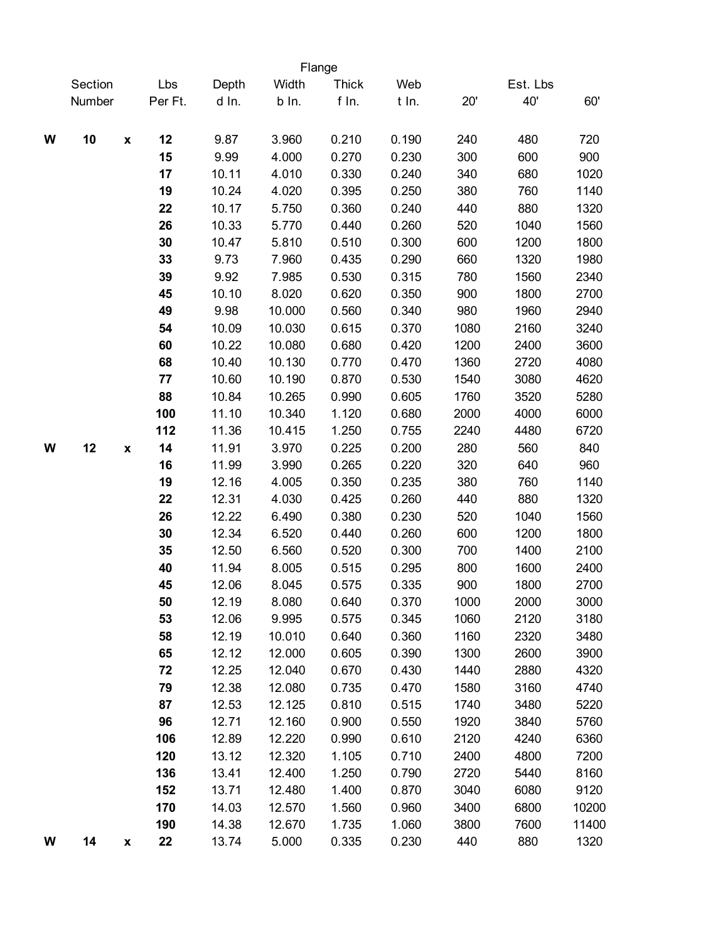|   |                          |         |       |        | Flange       |       |      |          |       |
|---|--------------------------|---------|-------|--------|--------------|-------|------|----------|-------|
|   | Section                  | Lbs     | Depth | Width  | <b>Thick</b> | Web   |      | Est. Lbs |       |
|   | Number                   | Per Ft. | d In. | b In.  | f In.        | t In. | 20'  | 40'      | 60'   |
| W | 10<br>$\pmb{\mathsf{x}}$ | 12      | 9.87  | 3.960  | 0.210        | 0.190 | 240  | 480      | 720   |
|   |                          | 15      | 9.99  | 4.000  | 0.270        | 0.230 | 300  | 600      | 900   |
|   |                          | 17      | 10.11 | 4.010  | 0.330        | 0.240 | 340  | 680      | 1020  |
|   |                          | 19      | 10.24 | 4.020  | 0.395        | 0.250 | 380  | 760      | 1140  |
|   |                          | 22      | 10.17 | 5.750  | 0.360        | 0.240 | 440  | 880      | 1320  |
|   |                          | 26      | 10.33 | 5.770  | 0.440        | 0.260 | 520  | 1040     | 1560  |
|   |                          | 30      | 10.47 | 5.810  | 0.510        | 0.300 | 600  | 1200     | 1800  |
|   |                          | 33      | 9.73  | 7.960  | 0.435        | 0.290 | 660  | 1320     | 1980  |
|   |                          | 39      | 9.92  | 7.985  | 0.530        | 0.315 | 780  | 1560     | 2340  |
|   |                          | 45      | 10.10 | 8.020  | 0.620        | 0.350 | 900  | 1800     | 2700  |
|   |                          | 49      | 9.98  | 10.000 | 0.560        | 0.340 | 980  | 1960     | 2940  |
|   |                          | 54      | 10.09 | 10.030 | 0.615        | 0.370 | 1080 | 2160     | 3240  |
|   |                          | 60      | 10.22 | 10.080 | 0.680        | 0.420 | 1200 | 2400     | 3600  |
|   |                          | 68      | 10.40 | 10.130 | 0.770        | 0.470 | 1360 | 2720     | 4080  |
|   |                          | 77      | 10.60 | 10.190 | 0.870        | 0.530 | 1540 | 3080     | 4620  |
|   |                          | 88      | 10.84 | 10.265 | 0.990        | 0.605 | 1760 | 3520     | 5280  |
|   |                          | 100     | 11.10 | 10.340 | 1.120        | 0.680 | 2000 | 4000     | 6000  |
|   |                          | 112     | 11.36 | 10.415 | 1.250        | 0.755 | 2240 | 4480     | 6720  |
| W | 12<br>X                  | 14      | 11.91 | 3.970  | 0.225        | 0.200 | 280  | 560      | 840   |
|   |                          | 16      | 11.99 | 3.990  | 0.265        | 0.220 | 320  | 640      | 960   |
|   |                          | 19      | 12.16 | 4.005  | 0.350        | 0.235 | 380  | 760      | 1140  |
|   |                          | 22      | 12.31 | 4.030  | 0.425        | 0.260 | 440  | 880      | 1320  |
|   |                          | 26      | 12.22 | 6.490  | 0.380        | 0.230 | 520  | 1040     | 1560  |
|   |                          | 30      | 12.34 | 6.520  | 0.440        | 0.260 | 600  | 1200     | 1800  |
|   |                          | 35      | 12.50 | 6.560  | 0.520        | 0.300 | 700  | 1400     | 2100  |
|   |                          | 40      | 11.94 | 8.005  | 0.515        | 0.295 | 800  | 1600     | 2400  |
|   |                          | 45      | 12.06 | 8.045  | 0.575        | 0.335 | 900  | 1800     | 2700  |
|   |                          | 50      | 12.19 | 8.080  | 0.640        | 0.370 | 1000 | 2000     | 3000  |
|   |                          | 53      | 12.06 | 9.995  | 0.575        | 0.345 | 1060 | 2120     | 3180  |
|   |                          | 58      | 12.19 | 10.010 | 0.640        | 0.360 | 1160 | 2320     | 3480  |
|   |                          | 65      | 12.12 | 12.000 | 0.605        | 0.390 | 1300 | 2600     | 3900  |
|   |                          | 72      | 12.25 | 12.040 | 0.670        | 0.430 | 1440 | 2880     | 4320  |
|   |                          | 79      | 12.38 | 12.080 | 0.735        | 0.470 | 1580 | 3160     | 4740  |
|   |                          | 87      | 12.53 | 12.125 | 0.810        | 0.515 | 1740 | 3480     | 5220  |
|   |                          | 96      | 12.71 | 12.160 | 0.900        | 0.550 | 1920 | 3840     | 5760  |
|   |                          | 106     | 12.89 | 12.220 | 0.990        | 0.610 | 2120 | 4240     | 6360  |
|   |                          | 120     | 13.12 | 12.320 | 1.105        | 0.710 | 2400 | 4800     | 7200  |
|   |                          | 136     | 13.41 | 12.400 | 1.250        | 0.790 | 2720 | 5440     | 8160  |
|   |                          | 152     | 13.71 | 12.480 | 1.400        | 0.870 | 3040 | 6080     | 9120  |
|   |                          | 170     | 14.03 | 12.570 | 1.560        | 0.960 | 3400 | 6800     | 10200 |
|   |                          | 190     | 14.38 | 12.670 | 1.735        | 1.060 | 3800 | 7600     | 11400 |
| W | 14<br>X                  | 22      | 13.74 | 5.000  | 0.335        | 0.230 | 440  | 880      | 1320  |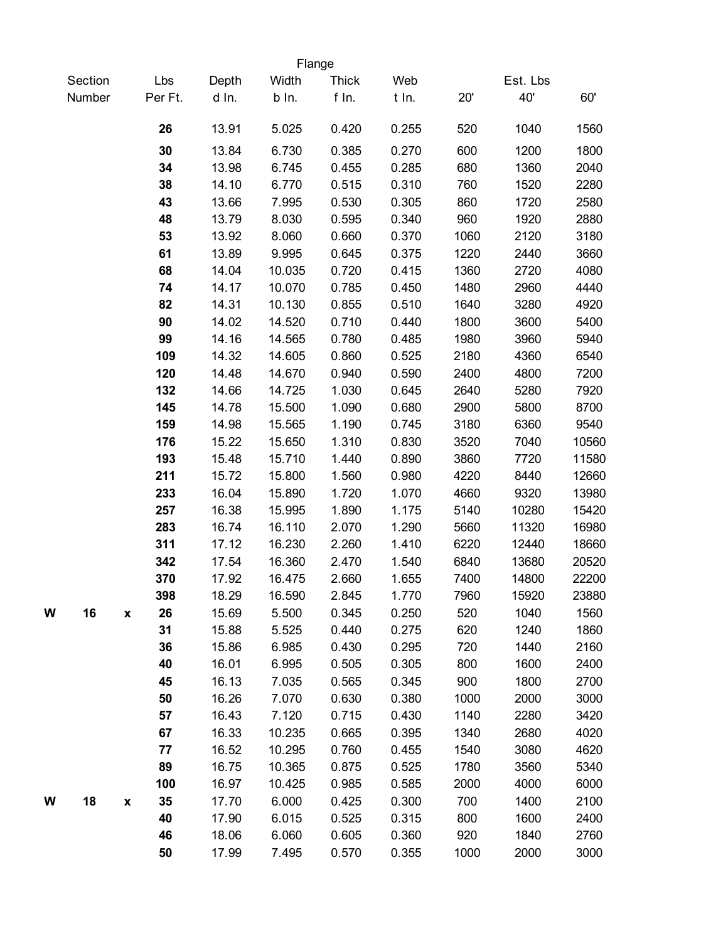|   |         |                          |                | Flange          |                |                |             |               |               |
|---|---------|--------------------------|----------------|-----------------|----------------|----------------|-------------|---------------|---------------|
|   | Section | Lbs                      | Depth          | Width           | <b>Thick</b>   | Web            |             | Est. Lbs      |               |
|   | Number  | Per Ft.                  | d In.          | b In.           | f In.          | t In.          | 20'         | 40'           | 60'           |
|   |         | 26                       | 13.91          | 5.025           | 0.420          | 0.255          | 520         | 1040          | 1560          |
|   |         | 30                       | 13.84          | 6.730           | 0.385          | 0.270          | 600         | 1200          | 1800          |
|   |         | 34                       | 13.98          | 6.745           | 0.455          | 0.285          | 680         | 1360          | 2040          |
|   |         | 38                       | 14.10          | 6.770           | 0.515          | 0.310          | 760         | 1520          | 2280          |
|   |         | 43                       | 13.66          | 7.995           | 0.530          | 0.305          | 860         | 1720          | 2580          |
|   |         | 48                       | 13.79          | 8.030           | 0.595          | 0.340          | 960         | 1920          | 2880          |
|   |         | 53                       | 13.92          | 8.060           | 0.660          | 0.370          | 1060        | 2120          | 3180          |
|   |         | 61                       | 13.89          | 9.995           | 0.645          | 0.375          | 1220        | 2440          | 3660          |
|   |         | 68                       | 14.04          | 10.035          | 0.720          | 0.415          | 1360        | 2720          | 4080          |
|   |         | 74                       | 14.17          | 10.070          | 0.785          | 0.450          | 1480        | 2960          | 4440          |
|   |         | 82                       | 14.31          | 10.130          | 0.855          | 0.510          | 1640        | 3280          | 4920          |
|   |         | 90                       | 14.02          | 14.520          | 0.710          | 0.440          | 1800        | 3600          | 5400          |
|   |         | 99                       | 14.16          | 14.565          | 0.780          | 0.485          | 1980        | 3960          | 5940          |
|   |         | 109                      | 14.32          | 14.605          | 0.860          | 0.525          | 2180        | 4360          | 6540          |
|   |         | 120                      | 14.48          | 14.670          | 0.940          | 0.590          | 2400        | 4800          | 7200          |
|   |         | 132                      | 14.66          | 14.725          | 1.030          | 0.645          | 2640        | 5280          | 7920          |
|   |         | 145                      | 14.78          | 15.500          | 1.090          | 0.680          | 2900        | 5800          | 8700          |
|   |         | 159                      | 14.98          | 15.565          | 1.190          | 0.745          | 3180        | 6360          | 9540          |
|   |         | 176                      | 15.22          | 15.650          | 1.310          | 0.830          | 3520        | 7040          | 10560         |
|   |         | 193                      | 15.48          | 15.710          | 1.440          | 0.890          | 3860        | 7720          | 11580         |
|   |         | 211                      | 15.72          | 15.800          | 1.560          | 0.980          | 4220        | 8440          | 12660         |
|   |         | 233                      | 16.04          | 15.890          | 1.720          | 1.070          | 4660        | 9320          | 13980         |
|   |         | 257                      | 16.38          | 15.995          | 1.890          | 1.175          | 5140        | 10280         | 15420         |
|   |         | 283                      | 16.74          | 16.110          | 2.070          | 1.290          | 5660        | 11320         | 16980         |
|   |         | 311                      | 17.12          | 16.230          | 2.260          | 1.410          | 6220        | 12440         | 18660         |
|   |         | 342                      | 17.54          | 16.360          | 2.470          | 1.540          | 6840        | 13680         | 20520         |
|   |         | 370                      | 17.92          | 16.475          | 2.660          | 1.655          | 7400        | 14800         | 22200         |
| W | 16      | 398<br>26                | 18.29<br>15.69 | 16.590<br>5.500 | 2.845<br>0.345 | 1.770<br>0.250 | 7960<br>520 | 15920<br>1040 | 23880<br>1560 |
|   |         | $\pmb{\mathsf{x}}$<br>31 | 15.88          | 5.525           | 0.440          | 0.275          | 620         | 1240          | 1860          |
|   |         | 36                       | 15.86          | 6.985           | 0.430          | 0.295          | 720         | 1440          | 2160          |
|   |         | 40                       | 16.01          | 6.995           | 0.505          | 0.305          | 800         | 1600          | 2400          |
|   |         | 45                       | 16.13          | 7.035           | 0.565          | 0.345          | 900         | 1800          | 2700          |
|   |         | 50                       | 16.26          | 7.070           | 0.630          | 0.380          | 1000        | 2000          | 3000          |
|   |         | 57                       | 16.43          | 7.120           | 0.715          | 0.430          | 1140        | 2280          | 3420          |
|   |         | 67                       | 16.33          | 10.235          | 0.665          | 0.395          | 1340        | 2680          | 4020          |
|   |         | 77                       | 16.52          | 10.295          | 0.760          | 0.455          | 1540        | 3080          | 4620          |
|   |         | 89                       | 16.75          | 10.365          | 0.875          | 0.525          | 1780        | 3560          | 5340          |
|   |         | 100                      | 16.97          | 10.425          | 0.985          | 0.585          | 2000        | 4000          | 6000          |
| W | 18      | 35<br>$\pmb{\mathsf{x}}$ | 17.70          | 6.000           | 0.425          | 0.300          | 700         | 1400          | 2100          |
|   |         | 40                       | 17.90          | 6.015           | 0.525          | 0.315          | 800         | 1600          | 2400          |
|   |         | 46                       | 18.06          | 6.060           | 0.605          | 0.360          | 920         | 1840          | 2760          |
|   |         | 50                       | 17.99          | 7.495           | 0.570          | 0.355          | 1000        | 2000          | 3000          |
|   |         |                          |                |                 |                |                |             |               |               |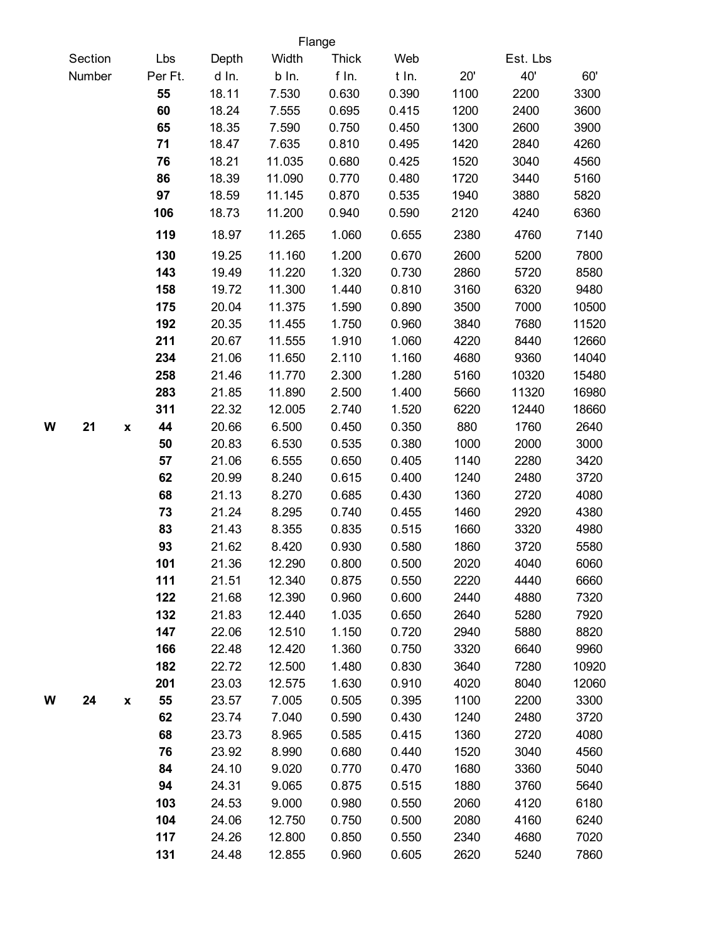|   |         |                    |         |       |        | Flange       |       |      |          |       |
|---|---------|--------------------|---------|-------|--------|--------------|-------|------|----------|-------|
|   | Section |                    | Lbs     | Depth | Width  | <b>Thick</b> | Web   |      | Est. Lbs |       |
|   | Number  |                    | Per Ft. | d In. | b In.  | f In.        | t In. | 20'  | 40'      | 60'   |
|   |         |                    | 55      | 18.11 | 7.530  | 0.630        | 0.390 | 1100 | 2200     | 3300  |
|   |         |                    | 60      | 18.24 | 7.555  | 0.695        | 0.415 | 1200 | 2400     | 3600  |
|   |         |                    | 65      | 18.35 | 7.590  | 0.750        | 0.450 | 1300 | 2600     | 3900  |
|   |         |                    | 71      | 18.47 | 7.635  | 0.810        | 0.495 | 1420 | 2840     | 4260  |
|   |         |                    | 76      | 18.21 | 11.035 | 0.680        | 0.425 | 1520 | 3040     | 4560  |
|   |         |                    | 86      | 18.39 | 11.090 | 0.770        | 0.480 | 1720 | 3440     | 5160  |
|   |         |                    | 97      | 18.59 | 11.145 | 0.870        | 0.535 | 1940 | 3880     | 5820  |
|   |         |                    | 106     | 18.73 | 11.200 | 0.940        | 0.590 | 2120 | 4240     | 6360  |
|   |         |                    | 119     | 18.97 | 11.265 | 1.060        | 0.655 | 2380 | 4760     | 7140  |
|   |         |                    | 130     | 19.25 | 11.160 | 1.200        | 0.670 | 2600 | 5200     | 7800  |
|   |         |                    | 143     | 19.49 | 11.220 | 1.320        | 0.730 | 2860 | 5720     | 8580  |
|   |         |                    | 158     | 19.72 | 11.300 | 1.440        | 0.810 | 3160 | 6320     | 9480  |
|   |         |                    | 175     | 20.04 | 11.375 | 1.590        | 0.890 | 3500 | 7000     | 10500 |
|   |         |                    | 192     | 20.35 | 11.455 | 1.750        | 0.960 | 3840 | 7680     | 11520 |
|   |         |                    | 211     | 20.67 | 11.555 | 1.910        | 1.060 | 4220 | 8440     | 12660 |
|   |         |                    | 234     | 21.06 | 11.650 | 2.110        | 1.160 | 4680 | 9360     | 14040 |
|   |         |                    | 258     | 21.46 | 11.770 | 2.300        | 1.280 | 5160 | 10320    | 15480 |
|   |         |                    | 283     | 21.85 | 11.890 | 2.500        | 1.400 | 5660 | 11320    | 16980 |
|   |         |                    | 311     | 22.32 | 12.005 | 2.740        | 1.520 | 6220 | 12440    | 18660 |
| W | 21      | X                  | 44      | 20.66 | 6.500  | 0.450        | 0.350 | 880  | 1760     | 2640  |
|   |         |                    | 50      | 20.83 | 6.530  | 0.535        | 0.380 | 1000 | 2000     | 3000  |
|   |         |                    | 57      | 21.06 | 6.555  | 0.650        | 0.405 | 1140 | 2280     | 3420  |
|   |         |                    | 62      | 20.99 | 8.240  | 0.615        | 0.400 | 1240 | 2480     | 3720  |
|   |         |                    | 68      | 21.13 | 8.270  | 0.685        | 0.430 | 1360 | 2720     | 4080  |
|   |         |                    | 73      | 21.24 | 8.295  | 0.740        | 0.455 | 1460 | 2920     | 4380  |
|   |         |                    | 83      | 21.43 | 8.355  | 0.835        | 0.515 | 1660 | 3320     | 4980  |
|   |         |                    | 93      | 21.62 | 8.420  | 0.930        | 0.580 | 1860 | 3720     | 5580  |
|   |         |                    | 101     | 21.36 | 12.290 | 0.800        | 0.500 | 2020 | 4040     | 6060  |
|   |         |                    | 111     | 21.51 | 12.340 | 0.875        | 0.550 | 2220 | 4440     | 6660  |
|   |         |                    | 122     | 21.68 | 12.390 | 0.960        | 0.600 | 2440 | 4880     | 7320  |
|   |         |                    | 132     | 21.83 | 12.440 | 1.035        | 0.650 | 2640 | 5280     | 7920  |
|   |         |                    | 147     | 22.06 | 12.510 | 1.150        | 0.720 | 2940 | 5880     | 8820  |
|   |         |                    | 166     | 22.48 | 12.420 | 1.360        | 0.750 | 3320 | 6640     | 9960  |
|   |         |                    | 182     | 22.72 | 12.500 | 1.480        | 0.830 | 3640 | 7280     | 10920 |
|   |         |                    | 201     | 23.03 | 12.575 | 1.630        | 0.910 | 4020 | 8040     | 12060 |
| W | 24      | $\pmb{\mathsf{x}}$ | 55      | 23.57 | 7.005  | 0.505        | 0.395 | 1100 | 2200     | 3300  |
|   |         |                    | 62      | 23.74 | 7.040  | 0.590        | 0.430 | 1240 | 2480     | 3720  |
|   |         |                    | 68      | 23.73 | 8.965  | 0.585        | 0.415 | 1360 | 2720     | 4080  |
|   |         |                    | 76      | 23.92 | 8.990  | 0.680        | 0.440 | 1520 | 3040     | 4560  |
|   |         |                    | 84      | 24.10 | 9.020  | 0.770        | 0.470 | 1680 | 3360     | 5040  |
|   |         |                    | 94      | 24.31 | 9.065  | 0.875        | 0.515 | 1880 | 3760     | 5640  |
|   |         |                    | 103     | 24.53 | 9.000  | 0.980        | 0.550 | 2060 | 4120     | 6180  |
|   |         |                    | 104     | 24.06 | 12.750 | 0.750        | 0.500 | 2080 | 4160     | 6240  |
|   |         |                    | 117     | 24.26 | 12.800 | 0.850        | 0.550 | 2340 | 4680     | 7020  |
|   |         |                    | 131     | 24.48 | 12.855 | 0.960        | 0.605 | 2620 | 5240     | 7860  |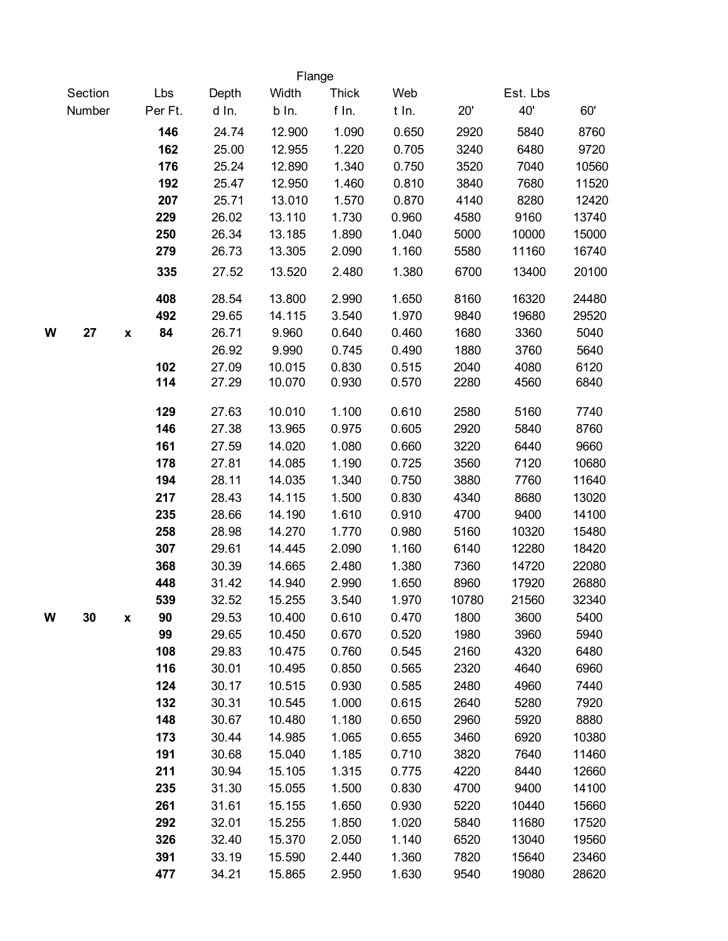|   |         |                    |            |                | Flange           |                |                |              |                |                |
|---|---------|--------------------|------------|----------------|------------------|----------------|----------------|--------------|----------------|----------------|
|   | Section |                    | Lbs        | Depth          | Width            | <b>Thick</b>   | Web            |              | Est. Lbs       |                |
|   | Number  |                    | Per Ft.    | d In.          | b In.            | f In.          | t In.          | 20'          | 40'            | 60'            |
|   |         |                    | 146        | 24.74          | 12.900           | 1.090          | 0.650          | 2920         | 5840           | 8760           |
|   |         |                    | 162        | 25.00          | 12.955           | 1.220          | 0.705          | 3240         | 6480           | 9720           |
|   |         |                    | 176        | 25.24          | 12.890           | 1.340          | 0.750          | 3520         | 7040           | 10560          |
|   |         |                    | 192        | 25.47          | 12.950           | 1.460          | 0.810          | 3840         | 7680           | 11520          |
|   |         |                    | 207        | 25.71          | 13.010           | 1.570          | 0.870          | 4140         | 8280           | 12420          |
|   |         |                    | 229        | 26.02          | 13.110           | 1.730          | 0.960          | 4580         | 9160           | 13740          |
|   |         |                    | 250        | 26.34          | 13.185           | 1.890          | 1.040          | 5000         | 10000          | 15000          |
|   |         |                    | 279        | 26.73          | 13.305           | 2.090          | 1.160          | 5580         | 11160          | 16740          |
|   |         |                    | 335        | 27.52          | 13.520           | 2.480          | 1.380          | 6700         | 13400          | 20100          |
|   |         |                    | 408        | 28.54          | 13.800           | 2.990          | 1.650          | 8160         | 16320          | 24480          |
|   |         |                    | 492        | 29.65          | 14.115           | 3.540          | 1.970          | 9840         | 19680          | 29520          |
| W | 27      | $\pmb{\mathsf{x}}$ | 84         | 26.71          | 9.960            | 0.640          | 0.460          | 1680         | 3360           | 5040           |
|   |         |                    |            | 26.92          | 9.990            | 0.745          | 0.490          | 1880         | 3760           | 5640           |
|   |         |                    | 102        | 27.09          | 10.015           | 0.830          | 0.515          | 2040         | 4080           | 6120           |
|   |         |                    | 114        | 27.29          | 10.070           | 0.930          | 0.570          | 2280         | 4560           | 6840           |
|   |         |                    | 129        | 27.63          | 10.010           | 1.100          | 0.610          | 2580         | 5160           | 7740           |
|   |         |                    | 146        | 27.38          | 13.965           | 0.975          | 0.605          | 2920         | 5840           | 8760           |
|   |         |                    | 161        | 27.59          | 14.020           | 1.080          | 0.660          | 3220         | 6440           | 9660           |
|   |         |                    | 178        | 27.81          | 14.085           | 1.190          | 0.725          | 3560         | 7120           | 10680          |
|   |         |                    | 194        | 28.11          | 14.035           | 1.340          | 0.750          | 3880         | 7760           | 11640          |
|   |         |                    | 217        | 28.43          | 14.115           | 1.500          | 0.830          | 4340         | 8680           | 13020          |
|   |         |                    | 235        | 28.66          | 14.190           | 1.610          | 0.910          | 4700         | 9400           | 14100          |
|   |         |                    | 258        | 28.98          | 14.270           | 1.770          | 0.980          | 5160         | 10320          | 15480          |
|   |         |                    | 307        | 29.61<br>30.39 | 14.445           | 2.090          | 1.160          | 6140         | 12280          | 18420          |
|   |         |                    | 368<br>448 | 31.42          | 14.665<br>14.940 | 2.480<br>2.990 | 1.380<br>1.650 | 7360<br>8960 | 14720<br>17920 | 22080<br>26880 |
|   |         |                    | 539        | 32.52          | 15.255           | 3.540          | 1.970          | 10780        | 21560          | 32340          |
| W | 30      | X                  | 90         | 29.53          | 10.400           | 0.610          | 0.470          | 1800         | 3600           | 5400           |
|   |         |                    | 99         | 29.65          | 10.450           | 0.670          | 0.520          | 1980         | 3960           | 5940           |
|   |         |                    | 108        | 29.83          | 10.475           | 0.760          | 0.545          | 2160         | 4320           | 6480           |
|   |         |                    | 116        | 30.01          | 10.495           | 0.850          | 0.565          | 2320         | 4640           | 6960           |
|   |         |                    | 124        | 30.17          | 10.515           | 0.930          | 0.585          | 2480         | 4960           | 7440           |
|   |         |                    | 132        | 30.31          | 10.545           | 1.000          | 0.615          | 2640         | 5280           | 7920           |
|   |         |                    | 148        | 30.67          | 10.480           | 1.180          | 0.650          | 2960         | 5920           | 8880           |
|   |         |                    | 173        | 30.44          | 14.985           | 1.065          | 0.655          | 3460         | 6920           | 10380          |
|   |         |                    | 191        | 30.68          | 15.040           | 1.185          | 0.710          | 3820         | 7640           | 11460          |
|   |         |                    | 211        | 30.94          | 15.105           | 1.315          | 0.775          | 4220         | 8440           | 12660          |
|   |         |                    | 235        | 31.30          | 15.055           | 1.500          | 0.830          | 4700         | 9400           | 14100          |
|   |         |                    | 261        | 31.61          | 15.155           | 1.650          | 0.930          | 5220         | 10440          | 15660          |
|   |         |                    | 292        | 32.01          | 15.255           | 1.850          | 1.020          | 5840         | 11680          | 17520          |
|   |         |                    | 326        | 32.40          | 15.370           | 2.050          | 1.140          | 6520         | 13040          | 19560          |
|   |         |                    | 391        | 33.19          | 15.590           | 2.440          | 1.360          | 7820         | 15640          | 23460          |
|   |         |                    | 477        | 34.21          | 15.865           | 2.950          | 1.630          | 9540         | 19080          | 28620          |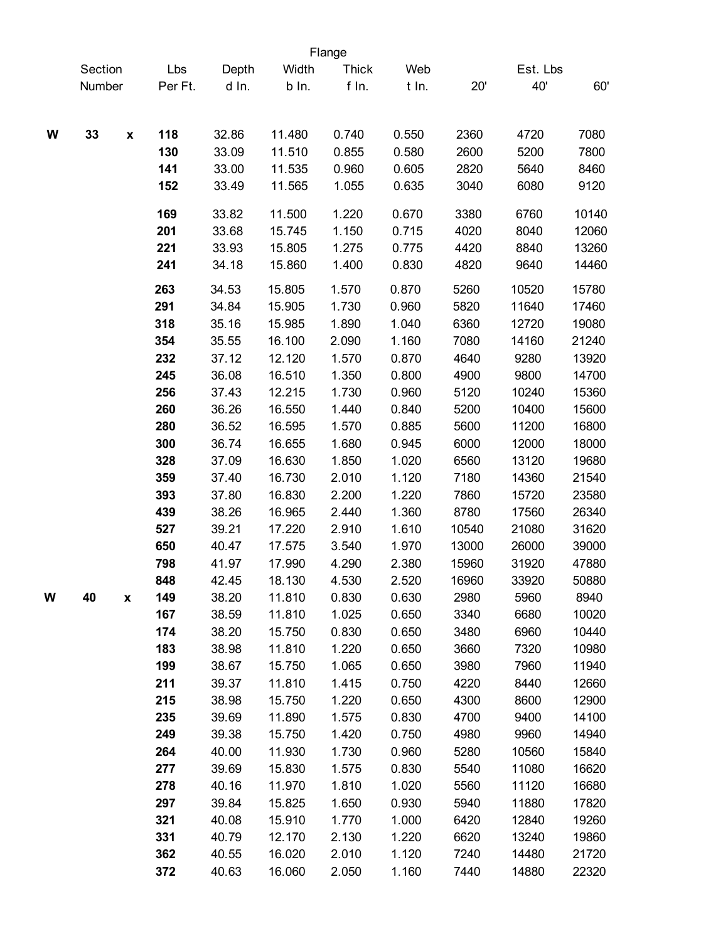|   |         |                    |         |       |        | Flange       |       |       |          |       |
|---|---------|--------------------|---------|-------|--------|--------------|-------|-------|----------|-------|
|   | Section |                    | Lbs     | Depth | Width  | <b>Thick</b> | Web   |       | Est. Lbs |       |
|   | Number  |                    | Per Ft. | d In. | b In.  | f In.        | t In. | 20'   | 40'      | 60'   |
|   |         |                    |         |       |        |              |       |       |          |       |
| W | 33      | $\pmb{\mathsf{x}}$ | 118     | 32.86 | 11.480 | 0.740        | 0.550 | 2360  | 4720     | 7080  |
|   |         |                    | 130     | 33.09 | 11.510 | 0.855        | 0.580 | 2600  | 5200     | 7800  |
|   |         |                    | 141     | 33.00 | 11.535 | 0.960        | 0.605 | 2820  | 5640     | 8460  |
|   |         |                    | 152     | 33.49 | 11.565 | 1.055        | 0.635 | 3040  | 6080     | 9120  |
|   |         |                    | 169     | 33.82 | 11.500 | 1.220        | 0.670 | 3380  | 6760     | 10140 |
|   |         |                    | 201     | 33.68 | 15.745 | 1.150        | 0.715 | 4020  | 8040     | 12060 |
|   |         |                    | 221     | 33.93 | 15.805 | 1.275        | 0.775 | 4420  | 8840     | 13260 |
|   |         |                    | 241     | 34.18 | 15.860 | 1.400        | 0.830 | 4820  | 9640     | 14460 |
|   |         |                    | 263     | 34.53 | 15.805 | 1.570        | 0.870 | 5260  | 10520    | 15780 |
|   |         |                    | 291     | 34.84 | 15.905 | 1.730        | 0.960 | 5820  | 11640    | 17460 |
|   |         |                    | 318     | 35.16 | 15.985 | 1.890        | 1.040 | 6360  | 12720    | 19080 |
|   |         |                    | 354     | 35.55 | 16.100 | 2.090        | 1.160 | 7080  | 14160    | 21240 |
|   |         |                    | 232     | 37.12 | 12.120 | 1.570        | 0.870 | 4640  | 9280     | 13920 |
|   |         |                    | 245     | 36.08 | 16.510 | 1.350        | 0.800 | 4900  | 9800     | 14700 |
|   |         |                    | 256     | 37.43 | 12.215 | 1.730        | 0.960 | 5120  | 10240    | 15360 |
|   |         |                    | 260     | 36.26 | 16.550 | 1.440        | 0.840 | 5200  | 10400    | 15600 |
|   |         |                    | 280     | 36.52 | 16.595 | 1.570        | 0.885 | 5600  | 11200    | 16800 |
|   |         |                    | 300     | 36.74 | 16.655 | 1.680        | 0.945 | 6000  | 12000    | 18000 |
|   |         |                    | 328     | 37.09 | 16.630 | 1.850        | 1.020 | 6560  | 13120    | 19680 |
|   |         |                    | 359     | 37.40 | 16.730 | 2.010        | 1.120 | 7180  | 14360    | 21540 |
|   |         |                    | 393     | 37.80 | 16.830 | 2.200        | 1.220 | 7860  | 15720    | 23580 |
|   |         |                    | 439     | 38.26 | 16.965 | 2.440        | 1.360 | 8780  | 17560    | 26340 |
|   |         |                    | 527     | 39.21 | 17.220 | 2.910        | 1.610 | 10540 | 21080    | 31620 |
|   |         |                    | 650     | 40.47 | 17.575 | 3.540        | 1.970 | 13000 | 26000    | 39000 |
|   |         |                    | 798     | 41.97 | 17.990 | 4.290        | 2.380 | 15960 | 31920    | 47880 |
|   |         |                    | 848     | 42.45 | 18.130 | 4.530        | 2.520 | 16960 | 33920    | 50880 |
| W | 40      | X                  | 149     | 38.20 | 11.810 | 0.830        | 0.630 | 2980  | 5960     | 8940  |
|   |         |                    | 167     | 38.59 | 11.810 | 1.025        | 0.650 | 3340  | 6680     | 10020 |
|   |         |                    | 174     | 38.20 | 15.750 | 0.830        | 0.650 | 3480  | 6960     | 10440 |
|   |         |                    | 183     | 38.98 | 11.810 | 1.220        | 0.650 | 3660  | 7320     | 10980 |
|   |         |                    | 199     | 38.67 | 15.750 | 1.065        | 0.650 | 3980  | 7960     | 11940 |
|   |         |                    | 211     | 39.37 | 11.810 | 1.415        | 0.750 | 4220  | 8440     | 12660 |
|   |         |                    | 215     | 38.98 | 15.750 | 1.220        | 0.650 | 4300  | 8600     | 12900 |
|   |         |                    | 235     | 39.69 | 11.890 | 1.575        | 0.830 | 4700  | 9400     | 14100 |
|   |         |                    | 249     | 39.38 | 15.750 | 1.420        | 0.750 | 4980  | 9960     | 14940 |
|   |         |                    | 264     | 40.00 | 11.930 | 1.730        | 0.960 | 5280  | 10560    | 15840 |
|   |         |                    | 277     | 39.69 | 15.830 | 1.575        | 0.830 | 5540  | 11080    | 16620 |
|   |         |                    | 278     | 40.16 | 11.970 | 1.810        | 1.020 | 5560  | 11120    | 16680 |
|   |         |                    | 297     | 39.84 | 15.825 | 1.650        | 0.930 | 5940  | 11880    | 17820 |
|   |         |                    | 321     | 40.08 | 15.910 | 1.770        | 1.000 | 6420  | 12840    | 19260 |
|   |         |                    | 331     | 40.79 | 12.170 | 2.130        | 1.220 | 6620  | 13240    | 19860 |
|   |         |                    | 362     | 40.55 | 16.020 | 2.010        | 1.120 | 7240  | 14480    | 21720 |
|   |         |                    | 372     | 40.63 | 16.060 | 2.050        | 1.160 | 7440  | 14880    | 22320 |